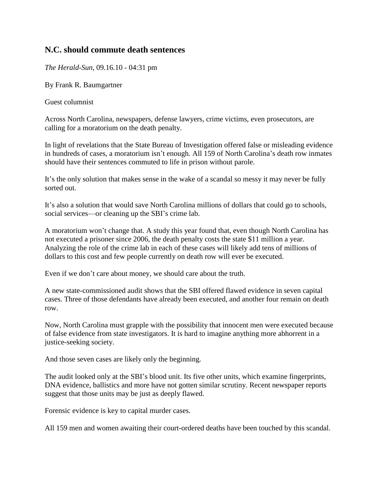## **N.C. should commute death sentences**

*The Herald-Sun,* 09.16.10 - 04:31 pm

By Frank R. Baumgartner

Guest columnist

Across North Carolina, newspapers, defense lawyers, crime victims, even prosecutors, are calling for a moratorium on the death penalty.

In light of revelations that the State Bureau of Investigation offered false or misleading evidence in hundreds of cases, a moratorium isn't enough. All 159 of North Carolina's death row inmates should have their sentences commuted to life in prison without parole.

It's the only solution that makes sense in the wake of a scandal so messy it may never be fully sorted out.

It's also a solution that would save North Carolina millions of dollars that could go to schools, social services—or cleaning up the SBI's crime lab.

A moratorium won't change that. A study this year found that, even though North Carolina has not executed a prisoner since 2006, the death penalty costs the state \$11 million a year. Analyzing the role of the crime lab in each of these cases will likely add tens of millions of dollars to this cost and few people currently on death row will ever be executed.

Even if we don't care about money, we should care about the truth.

A new state-commissioned audit shows that the SBI offered flawed evidence in seven capital cases. Three of those defendants have already been executed, and another four remain on death row.

Now, North Carolina must grapple with the possibility that innocent men were executed because of false evidence from state investigators. It is hard to imagine anything more abhorrent in a justice-seeking society.

And those seven cases are likely only the beginning.

The audit looked only at the SBI's blood unit. Its five other units, which examine fingerprints, DNA evidence, ballistics and more have not gotten similar scrutiny. Recent newspaper reports suggest that those units may be just as deeply flawed.

Forensic evidence is key to capital murder cases.

All 159 men and women awaiting their court-ordered deaths have been touched by this scandal.